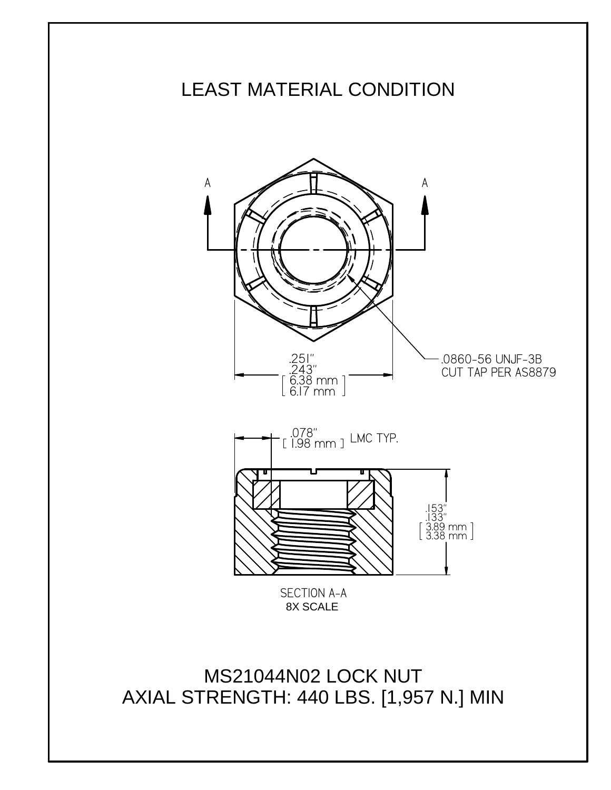

AXIAL STRENGTH: 440 LBS. [1,957 N.] MIN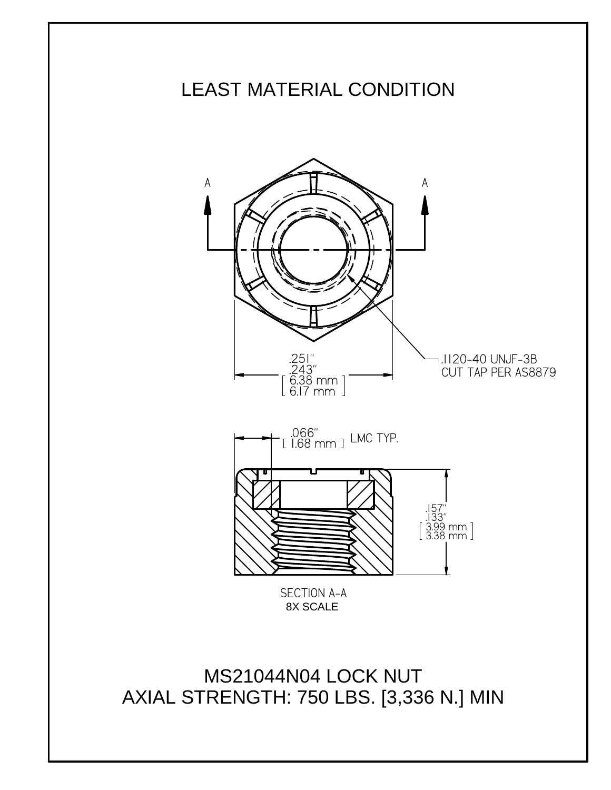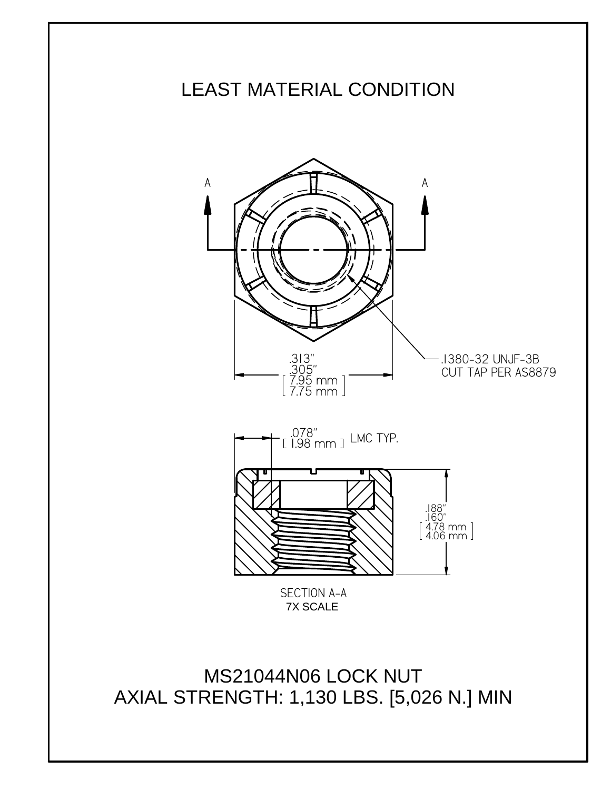

AXIAL STRENGTH: 1,130 LBS. [5,026 N.] MIN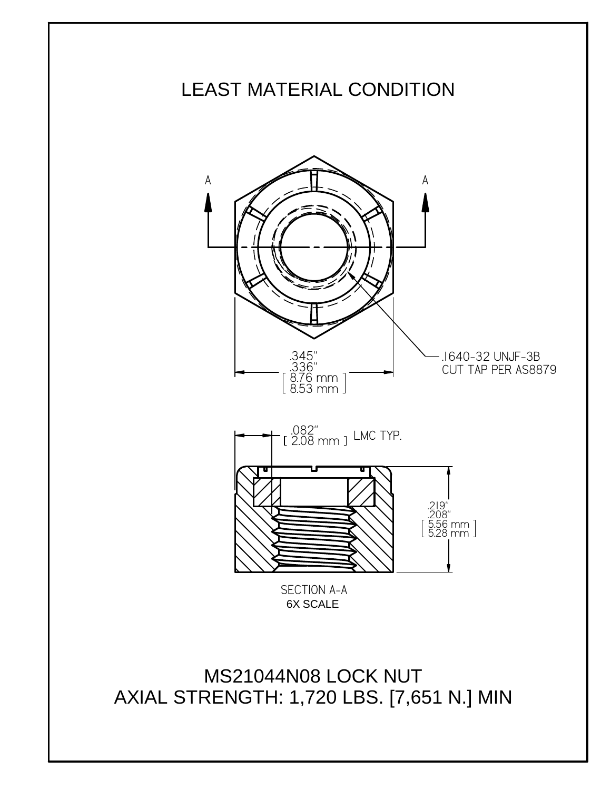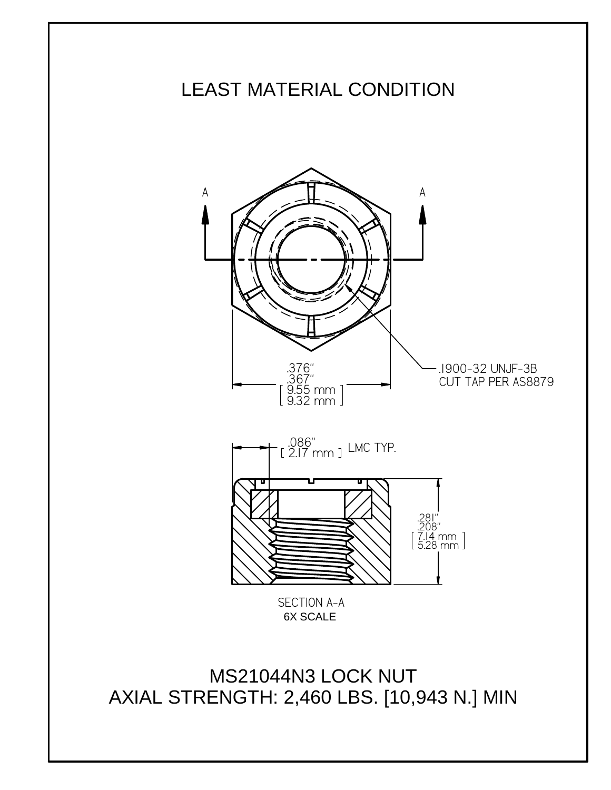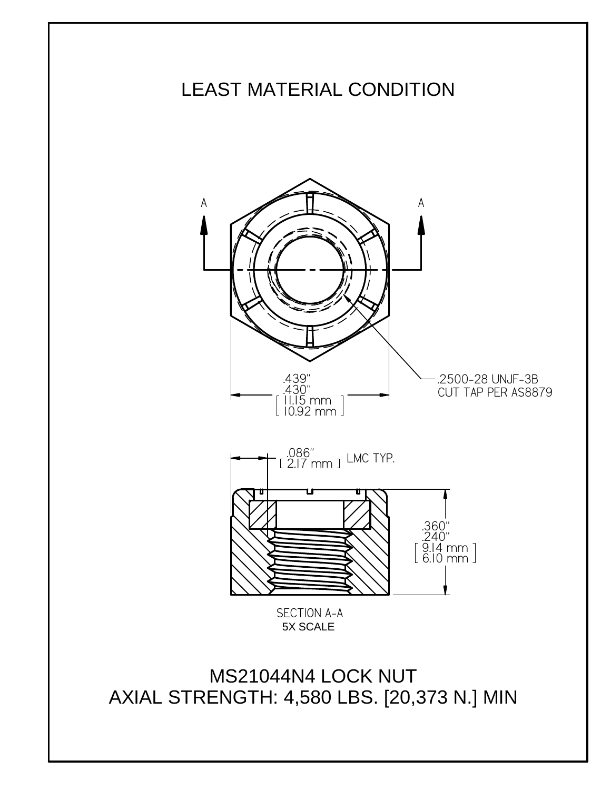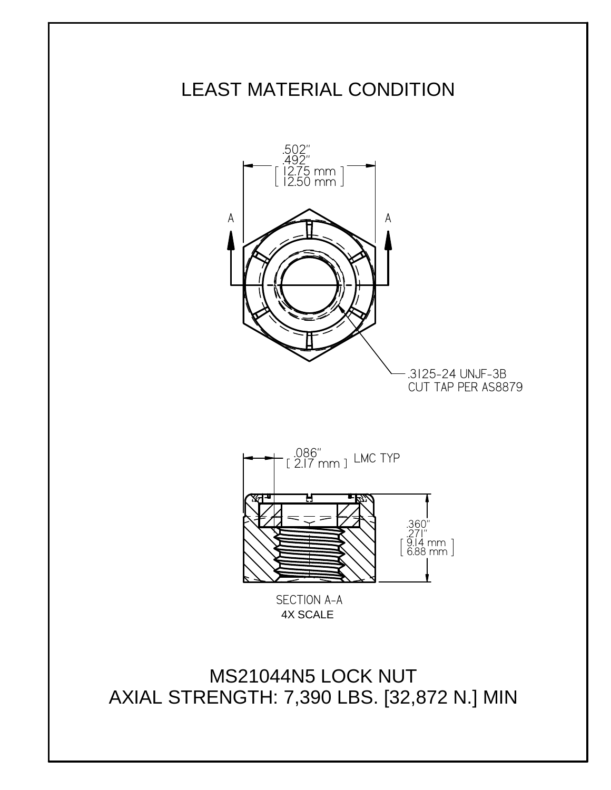

MS21044N5 LOCK NUT AXIAL STRENGTH: 7,390 LBS. [32,872 N.] MIN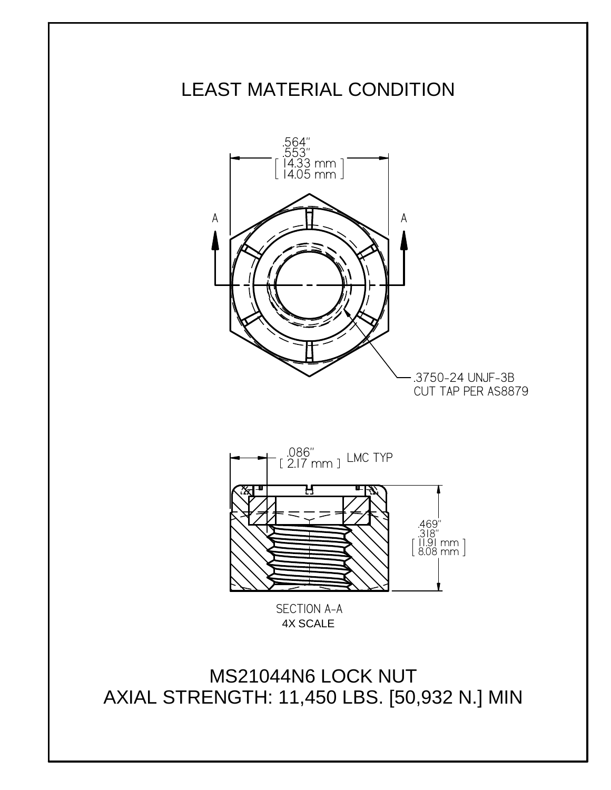

MS21044N6 LOCK NUT AXIAL STRENGTH: 11,450 LBS. [50,932 N.] MIN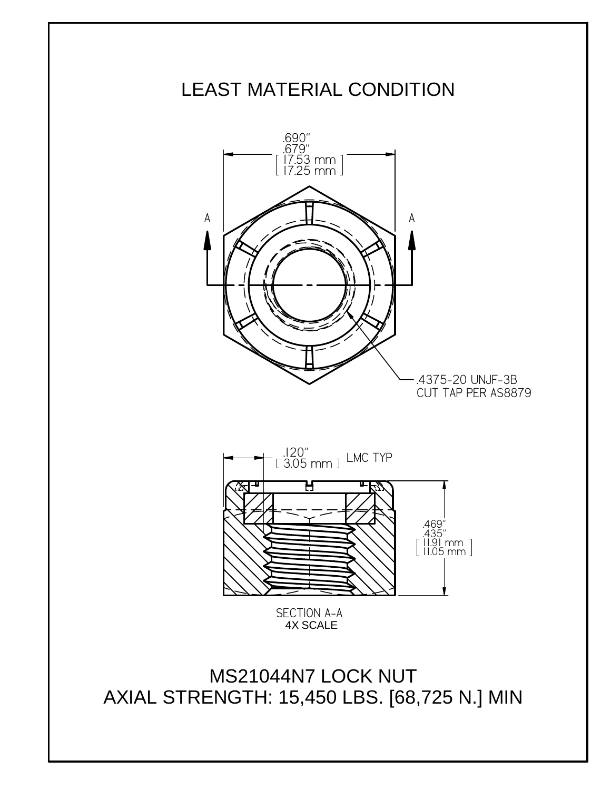

MS21044N7 LOCK NUT AXIAL STRENGTH: 15,450 LBS. [68,725 N.] MIN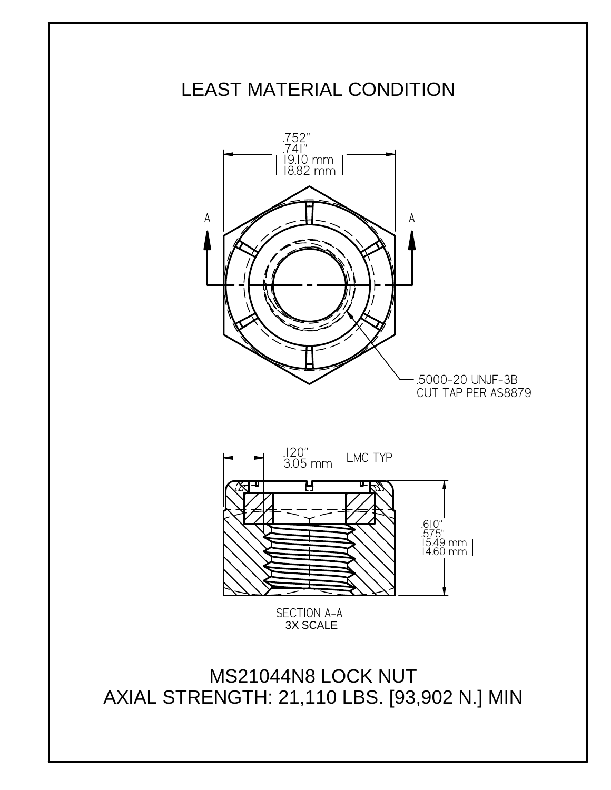

MS21044N8 LOCK NUT AXIAL STRENGTH: 21,110 LBS. [93,902 N.] MIN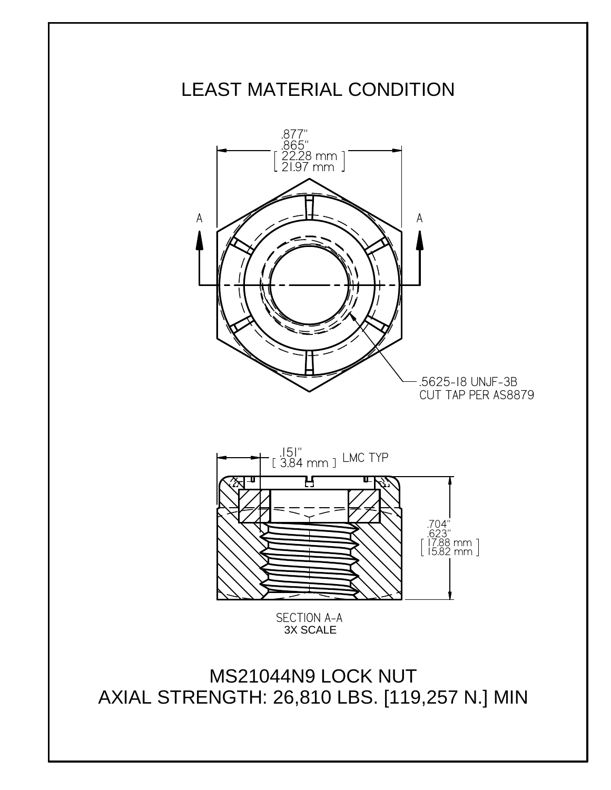

MS21044N9 LOCK NUT AXIAL STRENGTH: 26,810 LBS. [119,257 N.] MIN